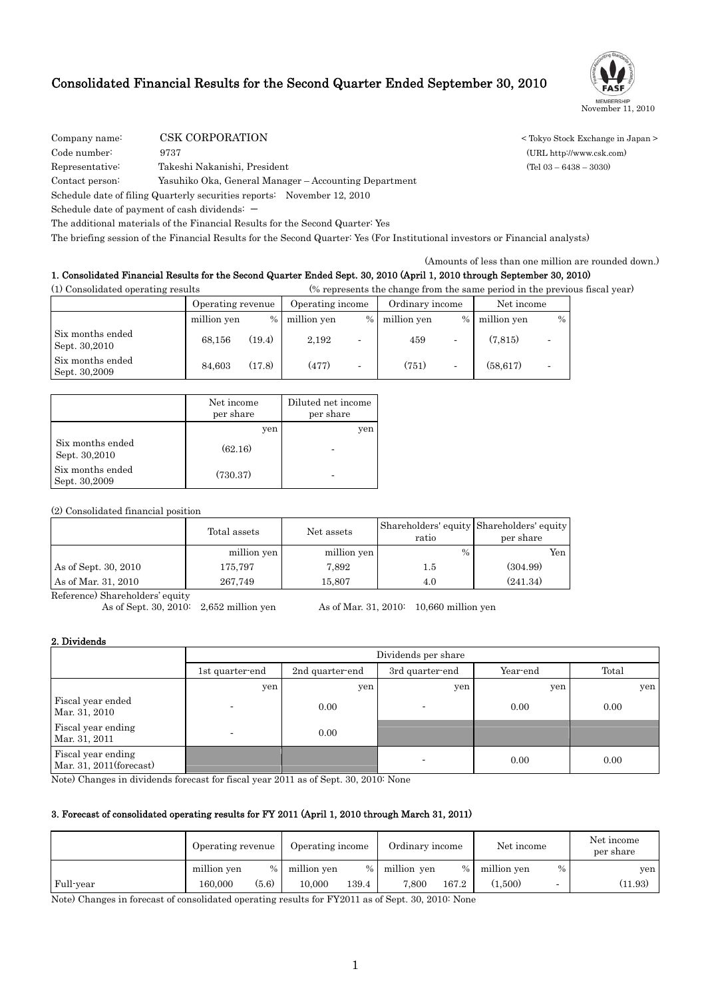## Consolidated Financial Results for the Second Quarter Ended September 30, 2010



Company name: CSK CORPORATION < Tokyo Stock Exchange in Japan >

Code number: 9737 (URL http://www.csk.com)

Representative: Takeshi Nakanishi, President (Tel 03 – 6438 – 3030)

Contact person: Yasuhiko Oka, General Manager – Accounting Department

Schedule date of filing Quarterly securities reports: November 12, 2010

Schedule date of payment of cash dividends:  $-$ 

The additional materials of the Financial Results for the Second Quarter: Yes

The briefing session of the Financial Results for the Second Quarter: Yes (For Institutional investors or Financial analysts)

(Amounts of less than one million are rounded down.)

### 1. Consolidated Financial Results for the Second Quarter Ended Sept. 30, 2010 (April 1, 2010 through September 30, 2010)

(1) Consolidated operating results (% represents the change from the same period in the previous fiscal year)

|                                   | Operating income<br>Operating revenue |        | Ordinary income |      | Net income  |                          |             |               |
|-----------------------------------|---------------------------------------|--------|-----------------|------|-------------|--------------------------|-------------|---------------|
|                                   | million yen                           | $\%$   | million yen     | $\%$ | million yen | $\%$                     | million yen | $\frac{0}{0}$ |
| Six months ended<br>Sept. 30,2010 | 68.156                                | (19.4) | 2.192           |      | 459         | $\overline{\phantom{a}}$ | (7.815)     |               |
| Six months ended<br>Sept. 30,2009 | 84.603                                | (17.8) | (477)           |      | (751)       | $\overline{\phantom{a}}$ | (58.617)    |               |

|                                   | Net income<br>per share | Diluted net income<br>per share |
|-----------------------------------|-------------------------|---------------------------------|
|                                   | yen                     | yen                             |
| Six months ended<br>Sept. 30,2010 | (62.16)                 |                                 |
| Six months ended<br>Sept. 30,2009 | (730.37)                |                                 |

(2) Consolidated financial position

|                      | Total assets | Net assets  | ratio         | Shareholders' equity Shareholders' equity<br>per share |
|----------------------|--------------|-------------|---------------|--------------------------------------------------------|
|                      | million yen  | million yen | $\frac{0}{0}$ | Yen                                                    |
| As of Sept. 30, 2010 | 175,797      | 7.892       | 1.5           | (304.99)                                               |
| As of Mar. 31, 2010  | 267.749      | 15.807      | 4.0           | (241.34)                                               |

Reference) Shareholders' equity<br>As of Sept. 30, 2010: 2,652 million yen As of Mar. 31, 2010: 10,660 million yen

### 2. Dividends

|                                               | Dividends per share |                 |                 |          |       |  |  |
|-----------------------------------------------|---------------------|-----------------|-----------------|----------|-------|--|--|
|                                               | 1st quarter-end     | 2nd quarter-end | 3rd quarter-end | Year-end | Total |  |  |
|                                               | yen                 | yen             | yen             | yen      | yen   |  |  |
| Fiscal year ended<br>Mar. 31, 2010            |                     | 0.00            |                 | 0.00     | 0.00  |  |  |
| Fiscal year ending<br>Mar. 31, 2011           |                     | 0.00            |                 |          |       |  |  |
| Fiscal year ending<br>Mar. 31, 2011(forecast) |                     |                 |                 | 0.00     | 0.00  |  |  |

Note) Changes in dividends forecast for fiscal year 2011 as of Sept. 30, 2010: None

### 3. Forecast of consolidated operating results for FY 2011 (April 1, 2010 through March 31, 2011)

|           | Operating revenue |       | Operating income |       | Ordinary income |       | Net income  |      | Net income<br>per share |
|-----------|-------------------|-------|------------------|-------|-----------------|-------|-------------|------|-------------------------|
|           | million yen       | $\%$  | million yen      |       | % million yen   | $\%$  | million yen | $\%$ | yen                     |
| Full-year | 160.000           | (5.6) | 10.000           | 139.4 | 7.800           | 167.2 | (1.500)     |      | (11.93)                 |

Note) Changes in forecast of consolidated operating results for FY2011 as of Sept. 30, 2010: None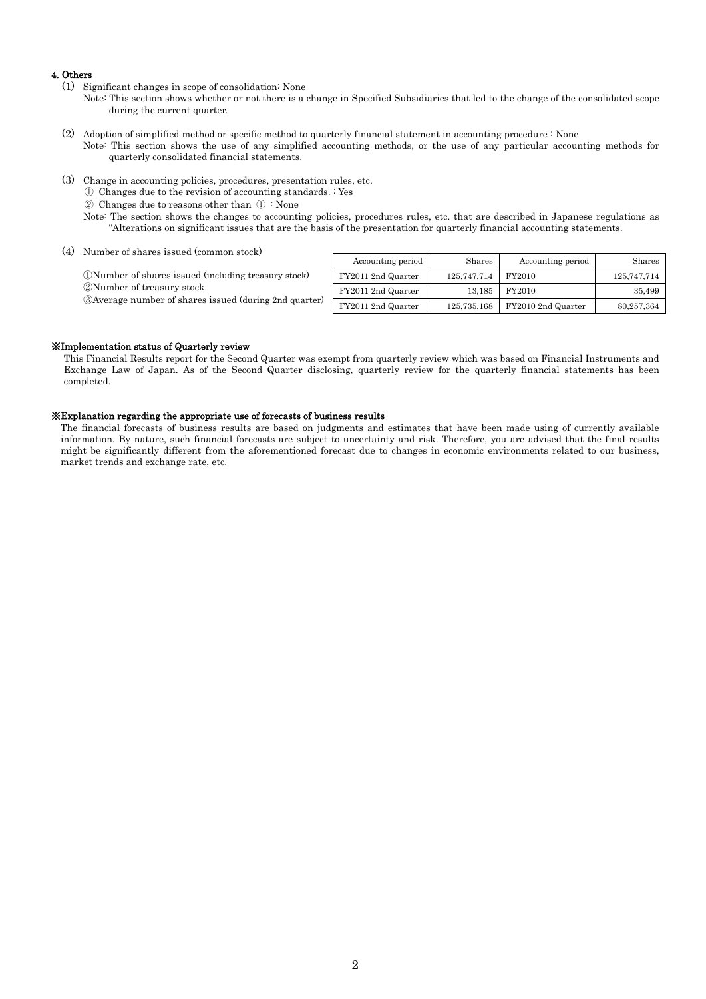### 4. Others

- (1) Significant changes in scope of consolidation: None
	- Note: This section shows whether or not there is a change in Specified Subsidiaries that led to the change of the consolidated scope during the current quarter.
- (2) Adoption of simplified method or specific method to quarterly financial statement in accounting procedure : None Note: This section shows the use of any simplified accounting methods, or the use of any particular accounting methods for quarterly consolidated financial statements.
- (3) Change in accounting policies, procedures, presentation rules, etc.
	- ① Changes due to the revision of accounting standards. : Yes
	- ② Changes due to reasons other than ① : None
	- Note: The section shows the changes to accounting policies, procedures rules, etc. that are described in Japanese regulations as "Alterations on significant issues that are the basis of the presentation for quarterly financial accounting statements.

(4) Number of shares issued (common stock)

| Number of shares issued (common stock)                                                      | Accounting period  | Shares      | Accounting period  | Shares      |
|---------------------------------------------------------------------------------------------|--------------------|-------------|--------------------|-------------|
| (DNumber of shares issued (including treasury stock)                                        | FY2011 2nd Quarter | 125,747,714 | FY2010             | 125.747.714 |
| 2 Number of treasury stock<br><b>3</b> Average number of shares issued (during 2nd quarter) |                    |             |                    |             |
|                                                                                             | FY2011 2nd Quarter | 13.185      | FY2010             | 35.499      |
|                                                                                             | FY2011 2nd Quarter | 125,735,168 | FY2010 2nd Quarter | 80,257,364  |

### ※Implementation status of Quarterly review

This Financial Results report for the Second Quarter was exempt from quarterly review which was based on Financial Instruments and Exchange Law of Japan. As of the Second Quarter disclosing, quarterly review for the quarterly financial statements has been completed.

### ※Explanation regarding the appropriate use of forecasts of business results

The financial forecasts of business results are based on judgments and estimates that have been made using of currently available information. By nature, such financial forecasts are subject to uncertainty and risk. Therefore, you are advised that the final results might be significantly different from the aforementioned forecast due to changes in economic environments related to our business, market trends and exchange rate, etc.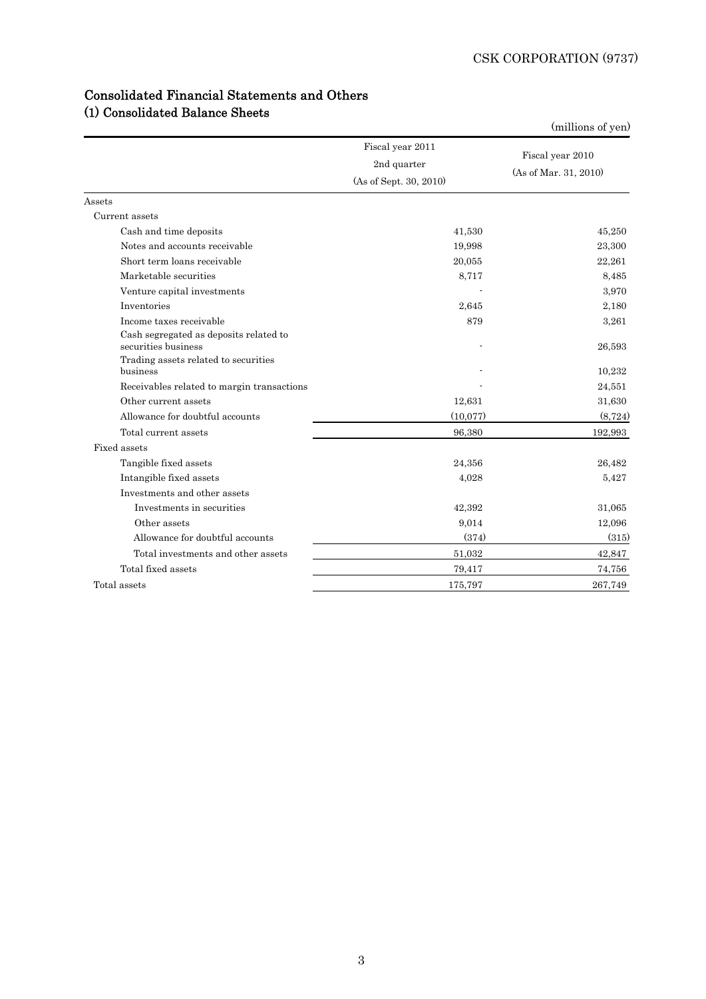| <b>Consolidated Financial Statements and Others</b> |  |
|-----------------------------------------------------|--|
| (1) Consolidated Balance Sheets                     |  |

|                                                               |                                                           | (millions of yen)                         |
|---------------------------------------------------------------|-----------------------------------------------------------|-------------------------------------------|
|                                                               | Fiscal year 2011<br>2nd quarter<br>(As of Sept. 30, 2010) | Fiscal year 2010<br>(As of Mar. 31, 2010) |
| Assets                                                        |                                                           |                                           |
| Current assets                                                |                                                           |                                           |
| Cash and time deposits                                        | 41,530                                                    | 45,250                                    |
| Notes and accounts receivable                                 | 19,998                                                    | 23,300                                    |
| Short term loans receivable                                   | 20,055                                                    | 22,261                                    |
| Marketable securities                                         | 8,717                                                     | 8,485                                     |
| Venture capital investments                                   |                                                           | 3.970                                     |
| Inventories                                                   | 2,645                                                     | 2,180                                     |
| Income taxes receivable                                       | 879                                                       | 3.261                                     |
| Cash segregated as deposits related to<br>securities business |                                                           | 26,593                                    |
| Trading assets related to securities<br>business              |                                                           | 10,232                                    |
| Receivables related to margin transactions                    |                                                           | 24,551                                    |
| Other current assets                                          | 12,631                                                    | 31,630                                    |
| Allowance for doubtful accounts                               | (10,077)                                                  | (8, 724)                                  |
| Total current assets                                          | 96,380                                                    | 192,993                                   |
| Fixed assets                                                  |                                                           |                                           |
| Tangible fixed assets                                         | 24,356                                                    | 26,482                                    |
| Intangible fixed assets                                       | 4,028                                                     | 5,427                                     |
| Investments and other assets                                  |                                                           |                                           |
| Investments in securities                                     | 42,392                                                    | 31,065                                    |
| Other assets                                                  | 9,014                                                     | 12,096                                    |
| Allowance for doubtful accounts                               | (374)                                                     | (315)                                     |
| Total investments and other assets                            | 51,032                                                    | 42,847                                    |
| Total fixed assets                                            | 79,417                                                    | 74,756                                    |
| Total assets                                                  | 175,797                                                   | 267,749                                   |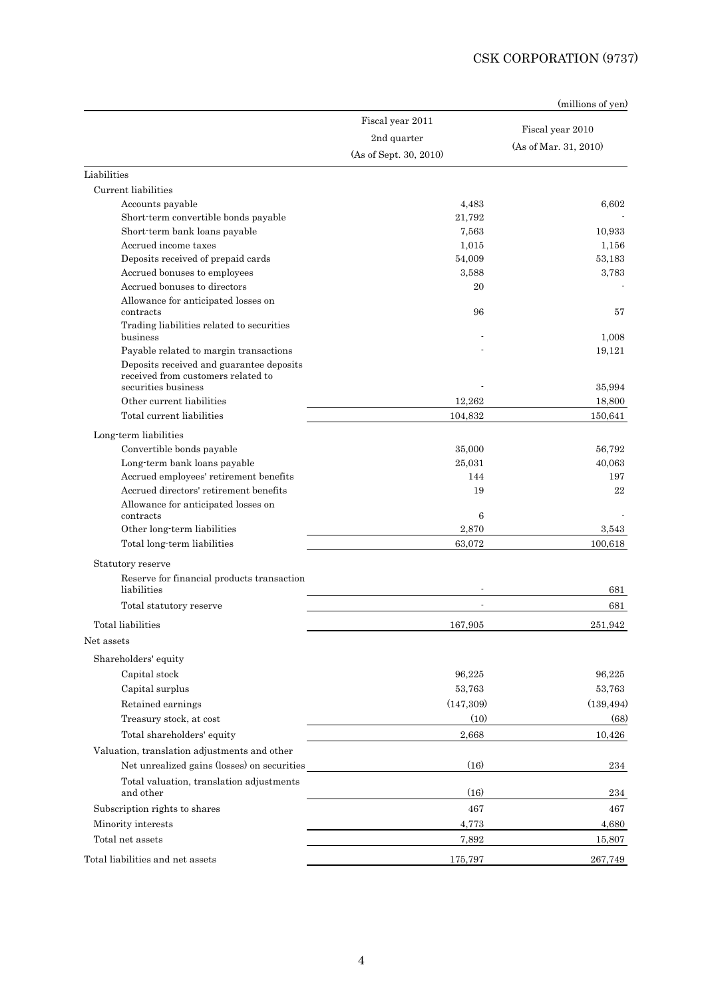|                                                                                |                        | (millions of yen)     |
|--------------------------------------------------------------------------------|------------------------|-----------------------|
|                                                                                | Fiscal year 2011       |                       |
|                                                                                | 2nd quarter            | Fiscal year 2010      |
|                                                                                | (As of Sept. 30, 2010) | (As of Mar. 31, 2010) |
| Liabilities                                                                    |                        |                       |
| Current liabilities                                                            |                        |                       |
| Accounts payable                                                               | 4,483                  | 6.602                 |
| Short-term convertible bonds payable                                           | 21,792                 |                       |
| Short-term bank loans payable                                                  | 7,563                  | 10,933                |
| Accrued income taxes                                                           | 1,015                  | 1,156                 |
| Deposits received of prepaid cards                                             | 54,009                 | 53,183                |
| Accrued bonuses to employees                                                   | 3.588                  | 3,783                 |
| Accrued bonuses to directors                                                   | 20                     |                       |
| Allowance for anticipated losses on                                            | 96                     |                       |
| contracts<br>Trading liabilities related to securities                         |                        | 57                    |
| business                                                                       |                        | 1.008                 |
| Payable related to margin transactions                                         |                        | 19,121                |
| Deposits received and guarantee deposits<br>received from customers related to |                        |                       |
| securities business<br>Other current liabilities                               | 12,262                 | 35,994                |
|                                                                                |                        | 18,800                |
| Total current liabilities                                                      | 104,832                | 150,641               |
| Long-term liabilities                                                          |                        |                       |
| Convertible bonds payable                                                      | 35,000                 | 56,792                |
| Long-term bank loans payable                                                   | 25,031                 | 40,063                |
| Accrued employees' retirement benefits                                         | 144                    | 197                   |
| Accrued directors' retirement benefits                                         | 19                     | 22                    |
| Allowance for anticipated losses on<br>contracts                               | 6                      |                       |
| Other long-term liabilities                                                    | 2,870                  | 3,543                 |
| Total long term liabilities                                                    | 63,072                 | 100,618               |
|                                                                                |                        |                       |
| Statutory reserve                                                              |                        |                       |
| Reserve for financial products transaction<br>liabilities                      |                        | 681                   |
| Total statutory reserve                                                        |                        | 681                   |
| Total liabilities                                                              | 167,905                | 251,942               |
| Net assets                                                                     |                        |                       |
| Shareholders' equity                                                           |                        |                       |
| Capital stock                                                                  | 96,225                 | 96,225                |
| Capital surplus                                                                | 53.763                 | 53,763                |
| Retained earnings                                                              | (147,309)              | (139, 494)            |
| Treasury stock, at cost                                                        | (10)                   | (68)                  |
| Total shareholders' equity                                                     | 2,668                  | 10,426                |
| Valuation, translation adjustments and other                                   |                        |                       |
| Net unrealized gains (losses) on securities                                    | (16)                   | 234                   |
| Total valuation, translation adjustments                                       |                        |                       |
| and other                                                                      | (16)                   | 234                   |
| Subscription rights to shares                                                  | 467                    | 467                   |
| Minority interests                                                             | 4,773                  | 4,680                 |
| Total net assets                                                               | 7,892                  | 15,807                |
| Total liabilities and net assets                                               | 175,797                | 267,749               |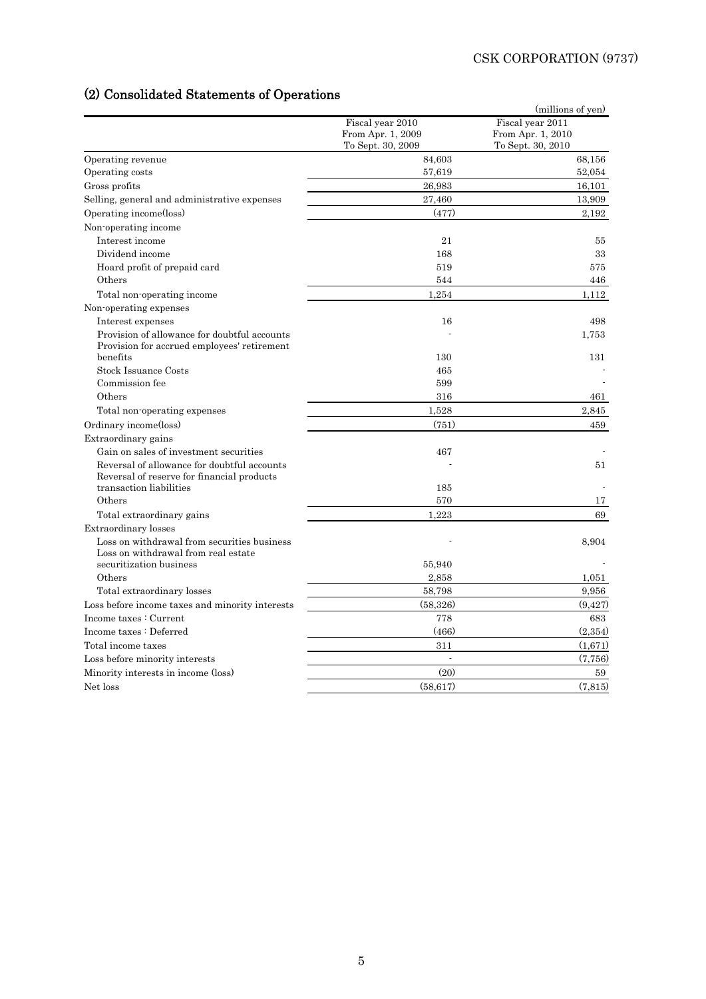# (2) Consolidated Statements of Operations

|                                                                                             | Fiscal year 2010  | (millions of yen)<br>Fiscal year 2011 |
|---------------------------------------------------------------------------------------------|-------------------|---------------------------------------|
|                                                                                             | From Apr. 1, 2009 | From Apr. 1, 2010                     |
|                                                                                             | To Sept. 30, 2009 | To Sept. 30, 2010                     |
| Operating revenue                                                                           | 84,603            | 68,156                                |
| Operating costs                                                                             | 57,619            | 52,054                                |
| Gross profits                                                                               | 26.983            | 16,101                                |
| Selling, general and administrative expenses                                                | 27,460            | 13,909                                |
| Operating income(loss)                                                                      | (477)             | 2,192                                 |
| Non-operating income                                                                        |                   |                                       |
| Interest income                                                                             | 21                | 55                                    |
| Dividend income                                                                             | 168               | 33                                    |
| Hoard profit of prepaid card                                                                | 519               | 575                                   |
| Others                                                                                      | 544               | 446                                   |
| Total non-operating income                                                                  | 1,254             | 1,112                                 |
| Non-operating expenses                                                                      |                   |                                       |
| Interest expenses                                                                           | 16                | 498                                   |
| Provision of allowance for doubtful accounts<br>Provision for accrued employees' retirement |                   | 1,753                                 |
| benefits                                                                                    | 130               | 131                                   |
| <b>Stock Issuance Costs</b>                                                                 | 465               |                                       |
| Commission fee                                                                              | 599               |                                       |
| Others                                                                                      | 316               | 461                                   |
| Total non-operating expenses                                                                | 1,528             | 2,845                                 |
| Ordinary income(loss)                                                                       | (751)             | 459                                   |
| Extraordinary gains                                                                         |                   |                                       |
| Gain on sales of investment securities                                                      | 467               |                                       |
| Reversal of allowance for doubtful accounts<br>Reversal of reserve for financial products   |                   | 51                                    |
| transaction liabilities                                                                     | 185               |                                       |
| Others                                                                                      | 570               | 17                                    |
| Total extraordinary gains                                                                   | 1,223             | 69                                    |
| Extraordinary losses                                                                        |                   |                                       |
| Loss on withdrawal from securities business<br>Loss on withdrawal from real estate          |                   | 8.904                                 |
| securitization business                                                                     | 55,940            |                                       |
| Others                                                                                      | 2,858             | 1,051                                 |
| Total extraordinary losses                                                                  | 58,798            | 9,956                                 |
| Loss before income taxes and minority interests                                             | (58,326)          | (9, 427)                              |
| Income taxes: Current                                                                       | 778               | 683                                   |
| Income taxes: Deferred                                                                      | (466)             | (2,354)                               |
| Total income taxes                                                                          | 311               | (1,671)                               |
| Loss before minority interests                                                              | $\omega$          | (7, 756)                              |
| Minority interests in income (loss)                                                         | (20)              | 59                                    |
| Net loss                                                                                    | (58, 617)         | (7,815)                               |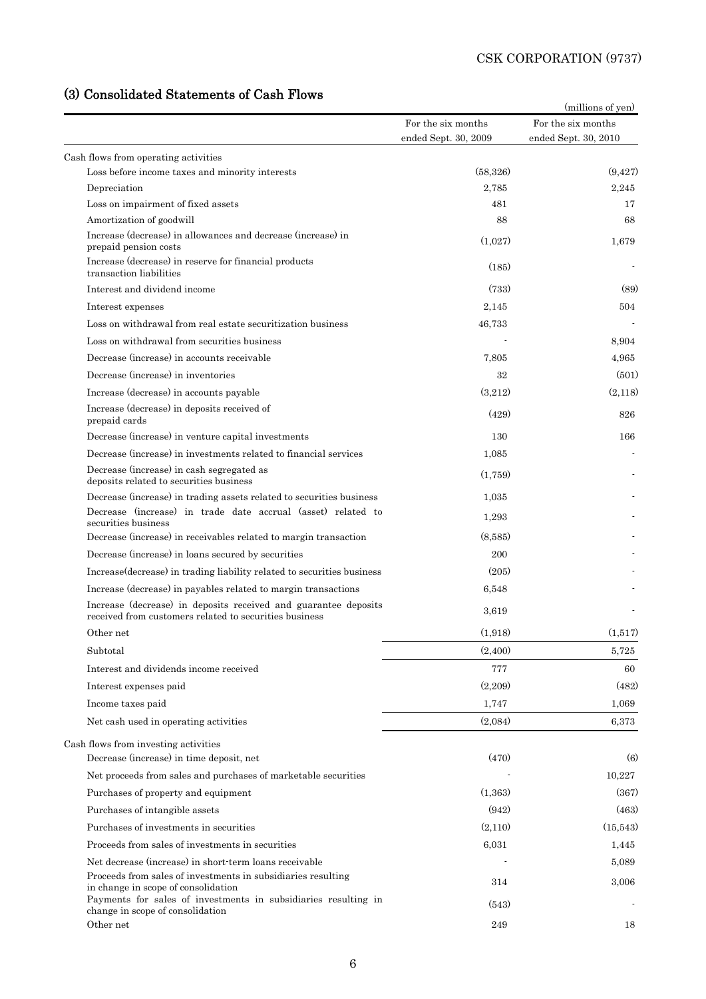# (3) Consolidated Statements of Cash Flows

| (3) Consolidated Statements of Cash Flows                                                                                 |                                            | (millions of yen)                          |
|---------------------------------------------------------------------------------------------------------------------------|--------------------------------------------|--------------------------------------------|
|                                                                                                                           | For the six months<br>ended Sept. 30, 2009 | For the six months<br>ended Sept. 30, 2010 |
| Cash flows from operating activities                                                                                      |                                            |                                            |
| Loss before income taxes and minority interests                                                                           | (58, 326)                                  | (9, 427)                                   |
| Depreciation                                                                                                              | 2,785                                      | 2,245                                      |
| Loss on impairment of fixed assets                                                                                        | 481                                        | 17                                         |
| Amortization of goodwill                                                                                                  | 88                                         | 68                                         |
| Increase (decrease) in allowances and decrease (increase) in<br>prepaid pension costs                                     | (1,027)                                    | 1,679                                      |
| Increase (decrease) in reserve for financial products<br>transaction liabilities                                          | (185)                                      |                                            |
| Interest and dividend income                                                                                              | (733)                                      | (89)                                       |
| Interest expenses                                                                                                         | 2,145                                      | 504                                        |
| Loss on withdrawal from real estate securitization business                                                               | 46,733                                     |                                            |
| Loss on withdrawal from securities business                                                                               |                                            | 8,904                                      |
| Decrease (increase) in accounts receivable                                                                                | 7,805                                      | 4.965                                      |
| Decrease (increase) in inventories                                                                                        | 32                                         | (501)                                      |
| Increase (decrease) in accounts payable                                                                                   | (3,212)                                    | (2,118)                                    |
| Increase (decrease) in deposits received of<br>prepaid cards                                                              | (429)                                      | 826                                        |
| Decrease (increase) in venture capital investments                                                                        | 130                                        | 166                                        |
| Decrease (increase) in investments related to financial services                                                          | 1,085                                      |                                            |
| Decrease (increase) in cash segregated as<br>deposits related to securities business                                      | (1,759)                                    |                                            |
| Decrease (increase) in trading assets related to securities business                                                      | 1,035                                      |                                            |
| Decrease (increase) in trade date accrual (asset) related to<br>securities business                                       | 1,293                                      |                                            |
| Decrease (increase) in receivables related to margin transaction                                                          | (8,585)                                    |                                            |
| Decrease (increase) in loans secured by securities                                                                        | 200                                        |                                            |
| Increase (decrease) in trading liability related to securities business                                                   | (205)                                      |                                            |
| Increase (decrease) in payables related to margin transactions                                                            | 6,548                                      |                                            |
| Increase (decrease) in deposits received and guarantee deposits<br>received from customers related to securities business | 3,619                                      |                                            |
| Other net                                                                                                                 | (1,918)                                    | (1,517)                                    |
| Subtotal                                                                                                                  | (2,400)                                    | 5,725                                      |
| Interest and dividends income received                                                                                    | 777                                        | 60                                         |
| Interest expenses paid                                                                                                    | (2,209)                                    | (482)                                      |
| Income taxes paid                                                                                                         | 1,747                                      | 1,069                                      |
| Net cash used in operating activities                                                                                     | (2,084)                                    | 6,373                                      |
| Cash flows from investing activities                                                                                      |                                            |                                            |
| Decrease (increase) in time deposit, net                                                                                  | (470)                                      | (6)                                        |
| Net proceeds from sales and purchases of marketable securities                                                            |                                            | 10,227                                     |
| Purchases of property and equipment                                                                                       | (1,363)                                    | (367)                                      |
| Purchases of intangible assets                                                                                            | (942)                                      | (463)                                      |
| Purchases of investments in securities                                                                                    | (2,110)                                    | (15,543)                                   |
| Proceeds from sales of investments in securities                                                                          | 6,031                                      | 1,445                                      |
| Net decrease (increase) in short-term loans receivable                                                                    |                                            | 5,089                                      |
| Proceeds from sales of investments in subsidiaries resulting<br>in change in scope of consolidation                       | 314                                        | 3,006                                      |
| Payments for sales of investments in subsidiaries resulting in<br>change in scope of consolidation                        | (543)                                      |                                            |
| Other net                                                                                                                 | 249                                        | 18                                         |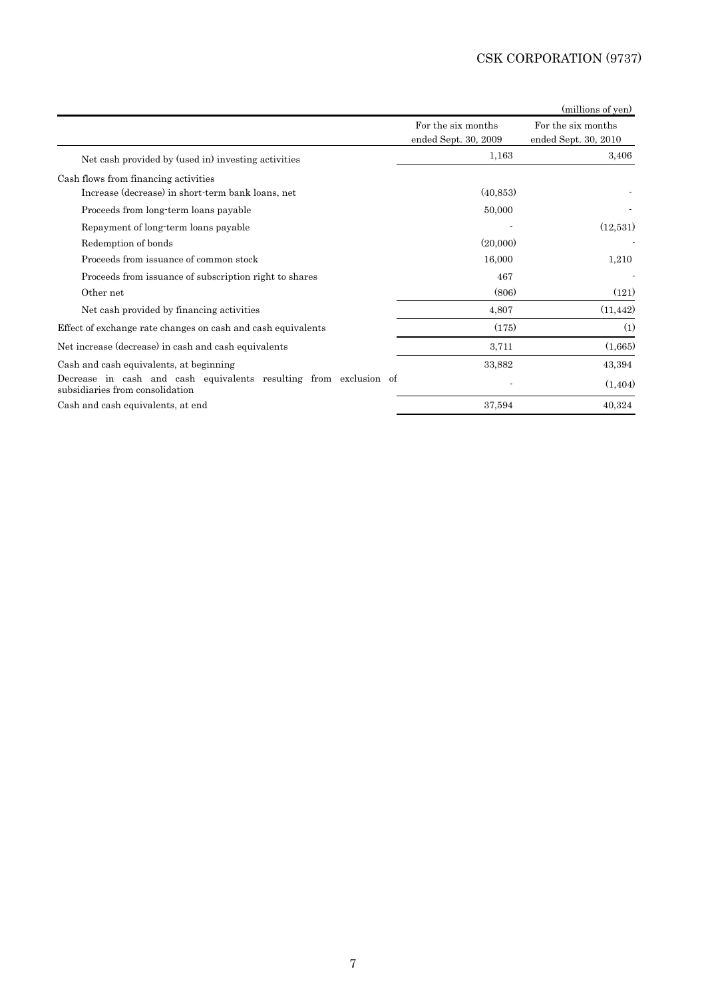|                                                                                                      |                      | (millions of yen)    |
|------------------------------------------------------------------------------------------------------|----------------------|----------------------|
|                                                                                                      | For the six months   | For the six months   |
|                                                                                                      | ended Sept. 30, 2009 | ended Sept. 30, 2010 |
| Net cash provided by (used in) investing activities                                                  | 1,163                | 3,406                |
| Cash flows from financing activities                                                                 |                      |                      |
| Increase (decrease) in short-term bank loans, net                                                    | (40, 853)            |                      |
| Proceeds from long-term loans payable                                                                | 50,000               |                      |
| Repayment of long-term loans payable                                                                 |                      | (12,531)             |
| Redemption of bonds                                                                                  | (20,000)             |                      |
| Proceeds from issuance of common stock                                                               | 16,000               | 1,210                |
| Proceeds from issuance of subscription right to shares                                               | 467                  |                      |
| Other net                                                                                            | (806)                | (121)                |
| Net cash provided by financing activities                                                            | 4,807                | (11, 442)            |
| Effect of exchange rate changes on cash and cash equivalents                                         | (175)                | (1)                  |
| Net increase (decrease) in cash and cash equivalents                                                 | 3,711                | (1,665)              |
| Cash and cash equivalents, at beginning                                                              | 33,882               | 43,394               |
| Decrease in cash and cash equivalents resulting from exclusion of<br>subsidiaries from consolidation |                      | (1,404)              |
| Cash and cash equivalents, at end                                                                    | 37,594               | 40,324               |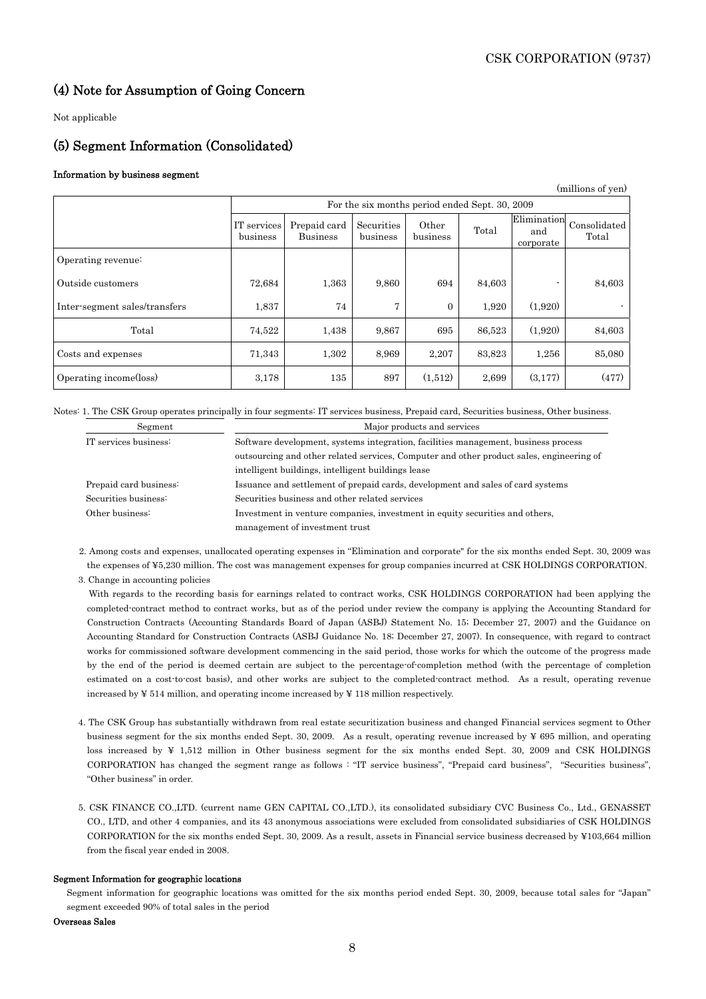$\angle$  millions of  $\triangle$ 

### (4) Note for Assumption of Going Concern

Not applicable

### (5) Segment Information (Consolidated)

### Information by business segment

|                               |                                                |                                 |                        |                   |        |                                 | (millions of yen)     |
|-------------------------------|------------------------------------------------|---------------------------------|------------------------|-------------------|--------|---------------------------------|-----------------------|
|                               | For the six months period ended Sept. 30, 2009 |                                 |                        |                   |        |                                 |                       |
|                               | IT services<br>business                        | Prepaid card<br><b>Business</b> | Securities<br>business | Other<br>business | Total  | Elimination<br>and<br>corporate | Consolidated<br>Total |
| Operating revenue:            |                                                |                                 |                        |                   |        |                                 |                       |
| Outside customers             | 72,684                                         | 1,363                           | 9,860                  | 694               | 84,603 |                                 | 84,603                |
| Inter-segment sales/transfers | 1,837                                          | 74                              | 7                      | $\overline{0}$    | 1,920  | (1,920)                         |                       |
| Total                         | 74,522                                         | 1,438                           | 9,867                  | 695               | 86,523 | (1,920)                         | 84,603                |
| Costs and expenses            | 71,343                                         | 1,302                           | 8,969                  | 2,207             | 83,823 | 1,256                           | 85,080                |
| Operating income(loss)        | 3,178                                          | 135                             | 897                    | (1,512)           | 2,699  | (3, 177)                        | (477)                 |

Notes: 1. The CSK Group operates principally in four segments: IT services business, Prepaid card, Securities business, Other business.

| Segment                | Major products and services                                                              |
|------------------------|------------------------------------------------------------------------------------------|
| IT services business:  | Software development, systems integration, facilities management, business process       |
|                        | outsourcing and other related services, Computer and other product sales, engineering of |
|                        | intelligent buildings, intelligent buildings lease                                       |
| Prepaid card business: | Issuance and settlement of prepaid cards, development and sales of card systems          |
| Securities business:   | Securities business and other related services                                           |
| Other business:        | Investment in venture companies, investment in equity securities and others,             |
|                        | management of investment trust                                                           |

2. Among costs and expenses, unallocated operating expenses in "Elimination and corporate" for the six months ended Sept. 30, 2009 was the expenses of ¥5,230 million. The cost was management expenses for group companies incurred at CSK HOLDINGS CORPORATION.

3. Change in accounting policies

 With regards to the recording basis for earnings related to contract works, CSK HOLDINGS CORPORATION had been applying the completed-contract method to contract works, but as of the period under review the company is applying the Accounting Standard for Construction Contracts (Accounting Standards Board of Japan (ASBJ) Statement No. 15; December 27, 2007) and the Guidance on Accounting Standard for Construction Contracts (ASBJ Guidance No. 18; December 27, 2007). In consequence, with regard to contract works for commissioned software development commencing in the said period, those works for which the outcome of the progress made by the end of the period is deemed certain are subject to the percentage-of-completion method (with the percentage of completion estimated on a cost-to-cost basis), and other works are subject to the completed-contract method. As a result, operating revenue increased by ¥ 514 million, and operating income increased by ¥ 118 million respectively.

- 4. The CSK Group has substantially withdrawn from real estate securitization business and changed Financial services segment to Other business segment for the six months ended Sept. 30, 2009. As a result, operating revenue increased by ¥ 695 million, and operating loss increased by ¥ 1,512 million in Other business segment for the six months ended Sept. 30, 2009 and CSK HOLDINGS CORPORATION has changed the segment range as follows : "IT service business", "Prepaid card business", "Securities business", "Other business" in order.
- 5. CSK FINANCE CO.,LTD. (current name GEN CAPITAL CO.,LTD.), its consolidated subsidiary CVC Business Co., Ltd., GENASSET CO., LTD, and other 4 companies, and its 43 anonymous associations were excluded from consolidated subsidiaries of CSK HOLDINGS CORPORATION for the six months ended Sept. 30, 2009. As a result, assets in Financial service business decreased by ¥103,664 million from the fiscal year ended in 2008.

### Segment Information for geographic locations

Segment information for geographic locations was omitted for the six months period ended Sept. 30, 2009, because total sales for "Japan" segment exceeded 90% of total sales in the period

#### Overseas Sales